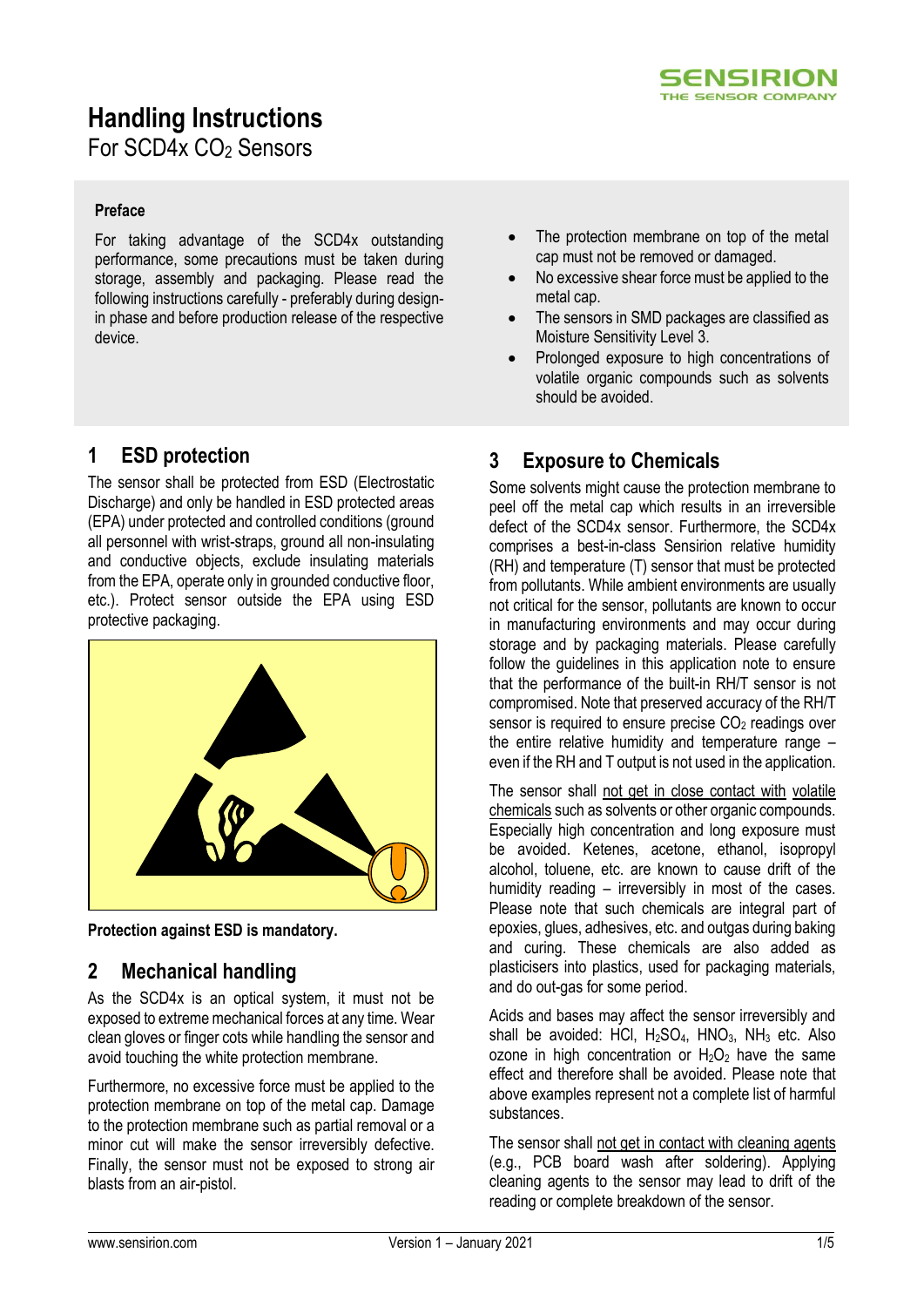

# **Handling Instructions**

For SCD4x CO<sub>2</sub> Sensors

#### **Preface**

For taking advantage of the SCD4x outstanding performance, some precautions must be taken during storage, assembly and packaging. Please read the following instructions carefully - preferably during designin phase and before production release of the respective device.

# **1 ESD protection**

The sensor shall be protected from ESD (Electrostatic Discharge) and only be handled in ESD protected areas (EPA) under protected and controlled conditions (ground all personnel with wrist-straps, ground all non-insulating and conductive objects, exclude insulating materials from the EPA, operate only in grounded conductive floor, etc.). Protect sensor outside the EPA using ESD protective packaging.



**Protection against ESD is mandatory.**

### **2 Mechanical handling**

As the SCD4x is an optical system, it must not be exposed to extreme mechanical forces at any time. Wear clean gloves or finger cots while handling the sensor and avoid touching the white protection membrane.

Furthermore, no excessive force must be applied to the protection membrane on top of the metal cap. Damage to the protection membrane such as partial removal or a minor cut will make the sensor irreversibly defective. Finally, the sensor must not be exposed to strong air blasts from an air-pistol.

- The protection membrane on top of the metal cap must not be removed or damaged.
- No excessive shear force must be applied to the metal cap.
- The sensors in SMD packages are classified as Moisture Sensitivity Level 3.
- Prolonged exposure to high concentrations of volatile organic compounds such as solvents should be avoided.

# **3 Exposure to Chemicals**

Some solvents might cause the protection membrane to peel off the metal cap which results in an irreversible defect of the SCD4x sensor. Furthermore, the SCD4x comprises a best-in-class Sensirion relative humidity (RH) and temperature (T) sensor that must be protected from pollutants. While ambient environments are usually not critical for the sensor, pollutants are known to occur in manufacturing environments and may occur during storage and by packaging materials. Please carefully follow the guidelines in this application note to ensure that the performance of the built-in RH/T sensor is not compromised. Note that preserved accuracy of the RH/T sensor is required to ensure precise  $CO<sub>2</sub>$  readings over the entire relative humidity and temperature range – even if the RH and T output is not used in the application.

The sensor shall not get in close contact with volatile chemicals such as solvents or other organic compounds. Especially high concentration and long exposure must be avoided. Ketenes, acetone, ethanol, isopropyl alcohol, toluene, etc. are known to cause drift of the humidity reading – irreversibly in most of the cases. Please note that such chemicals are integral part of epoxies, glues, adhesives, etc. and outgas during baking and curing. These chemicals are also added as plasticisers into plastics, used for packaging materials, and do out-gas for some period.

Acids and bases may affect the sensor irreversibly and shall be avoided: HCl,  $H<sub>2</sub>SO<sub>4</sub>$ , HNO<sub>3</sub>, NH<sub>3</sub> etc. Also ozone in high concentration or  $H_2O_2$  have the same effect and therefore shall be avoided. Please note that above examples represent not a complete list of harmful substances.

The sensor shall not get in contact with cleaning agents (e.g., PCB board wash after soldering). Applying cleaning agents to the sensor may lead to drift of the reading or complete breakdown of the sensor.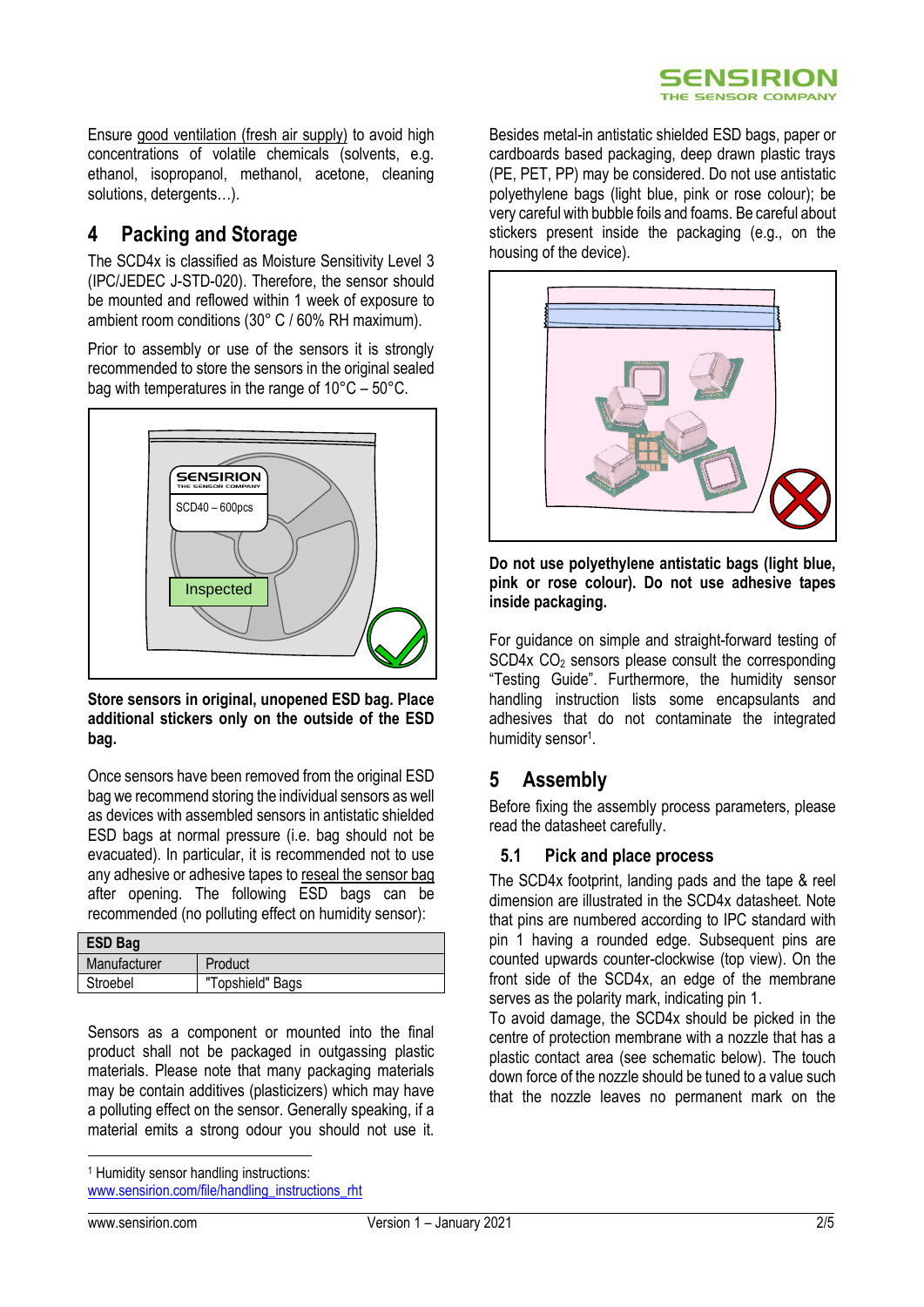Ensure good ventilation (fresh air supply) to avoid high concentrations of volatile chemicals (solvents, e.g. ethanol, isopropanol, methanol, acetone, cleaning solutions, detergents…).

## **4 Packing and Storage**

The SCD4x is classified as Moisture Sensitivity Level 3 (IPC/JEDEC J-STD-020). Therefore, the sensor should be mounted and reflowed within 1 week of exposure to ambient room conditions (30° C / 60% RH maximum).

Prior to assembly or use of the sensors it is strongly recommended to store the sensors in the original sealed bag with temperatures in the range of 10°C – 50°C.



**Store sensors in original, unopened ESD bag. Place additional stickers only on the outside of the ESD bag.**

Once sensors have been removed from the original ESD bag we recommend storing the individual sensors as well as devices with assembled sensors in antistatic shielded ESD bags at normal pressure (i.e. bag should not be evacuated). In particular, it is recommended not to use any adhesive or adhesive tapes to reseal the sensor bag after opening. The following ESD bags can be recommended (no polluting effect on humidity sensor):

| <b>ESD Bag</b> |                  |
|----------------|------------------|
| Manufacturer   | Product          |
| Stroebel       | "Topshield" Bags |

Sensors as a component or mounted into the final product shall not be packaged in outgassing plastic materials. Please note that many packaging materials may be contain additives (plasticizers) which may have a polluting effect on the sensor. Generally speaking, if a material emits a strong odour you should not use it.

<sup>1</sup> Humidity sensor handling instructions:

[www.sensirion.com/file/handling\\_instructions\\_rht](http://www.sensirion.com/file/handling_instructions_rht)

Besides metal-in antistatic shielded ESD bags, paper or cardboards based packaging, deep drawn plastic trays (PE, PET, PP) may be considered. Do not use antistatic polyethylene bags (light blue, pink or rose colour); be very careful with bubble foils and foams. Be careful about stickers present inside the packaging (e.g., on the housing of the device).



**Do not use polyethylene antistatic bags (light blue, pink or rose colour). Do not use adhesive tapes inside packaging.**

For guidance on simple and straight-forward testing of  $SCD4x CO<sub>2</sub>$  sensors please consult the corresponding "Testing Guide". Furthermore, the humidity sensor handling instruction lists some encapsulants and adhesives that do not contaminate the integrated humidity sensor<sup>1</sup>.

### **5 Assembly**

Before fixing the assembly process parameters, please read the datasheet carefully.

#### **5.1 Pick and place process**

The SCD4x footprint, landing pads and the tape & reel dimension are illustrated in the SCD4x datasheet. Note that pins are numbered according to IPC standard with pin 1 having a rounded edge. Subsequent pins are counted upwards counter-clockwise (top view). On the front side of the SCD4x, an edge of the membrane serves as the polarity mark, indicating pin 1.

To avoid damage, the SCD4x should be picked in the centre of protection membrane with a nozzle that has a plastic contact area (see schematic below). The touch down force of the nozzle should be tuned to a value such that the nozzle leaves no permanent mark on the

-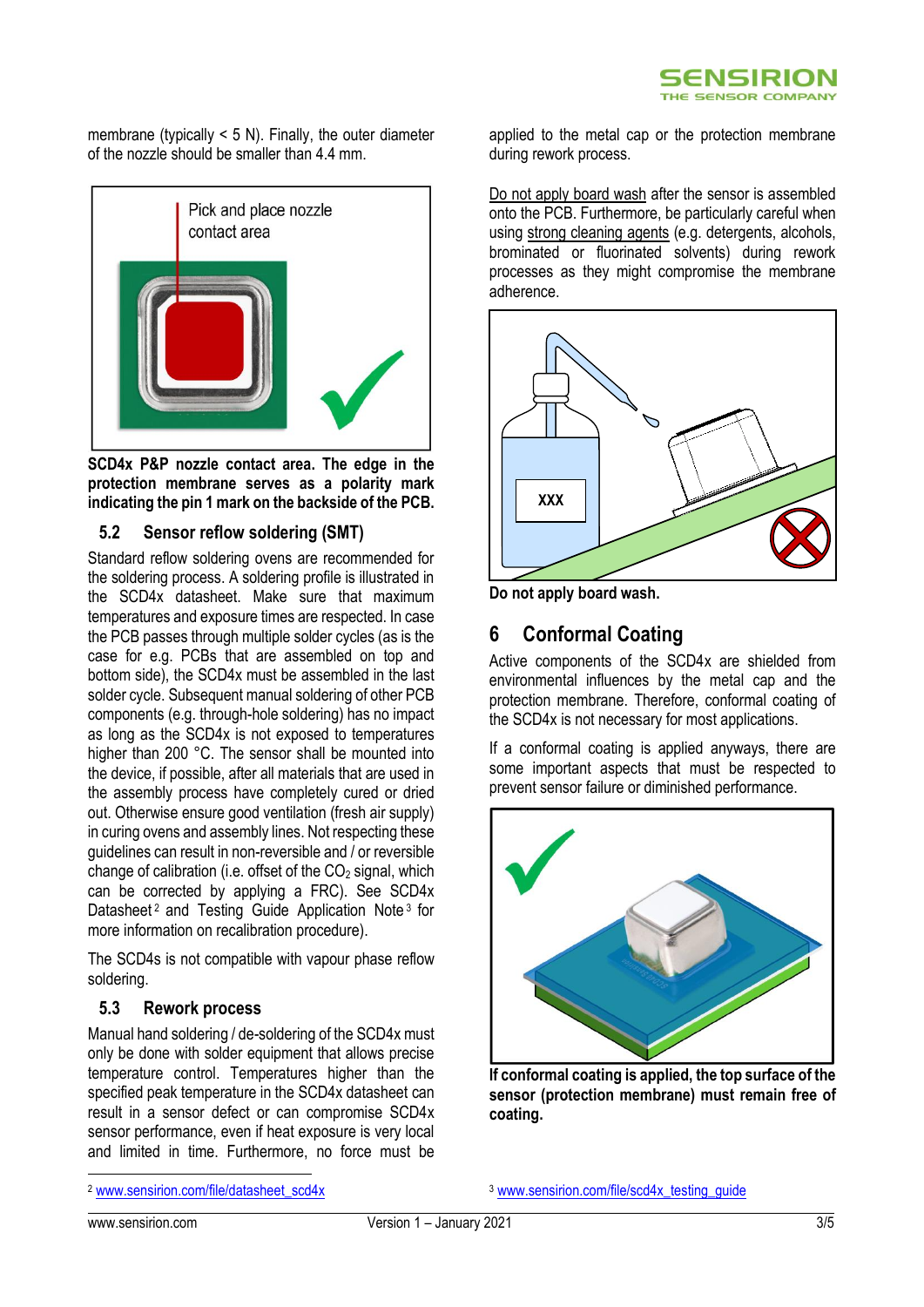membrane (typically  $\leq$  5 N). Finally, the outer diameter of the nozzle should be smaller than 4.4 mm.



**SCD4x P&P nozzle contact area. The edge in the protection membrane serves as a polarity mark indicating the pin 1 mark on the backside of the PCB.** 

#### **5.2 Sensor reflow soldering (SMT)**

Standard reflow soldering ovens are recommended for the soldering process. A soldering profile is illustrated in the SCD4x datasheet. Make sure that maximum temperatures and exposure times are respected. In case the PCB passes through multiple solder cycles (as is the case for e.g. PCBs that are assembled on top and bottom side), the SCD4x must be assembled in the last solder cycle. Subsequent manual soldering of other PCB components (e.g. through-hole soldering) has no impact as long as the SCD4x is not exposed to temperatures higher than 200 °C. The sensor shall be mounted into the device, if possible, after all materials that are used in the assembly process have completely cured or dried out. Otherwise ensure good ventilation (fresh air supply) in curing ovens and assembly lines. Not respecting these guidelines can result in non-reversible and / or reversible change of calibration (i.e. offset of the  $CO<sub>2</sub>$  signal, which can be corrected by applying a FRC). See SCD4x Datasheet<sup>2</sup> and Testing Guide Application Note<sup>3</sup> for more information on recalibration procedure).

The SCD4s is not compatible with vapour phase reflow soldering.

#### **5.3 Rework process**

Manual hand soldering / de-soldering of the SCD4x must only be done with solder equipment that allows precise temperature control. Temperatures higher than the specified peak temperature in the SCD4x datasheet can result in a sensor defect or can compromise SCD4x sensor performance, even if heat exposure is very local and limited in time. Furthermore, no force must be

<sup>2</sup> [www.sensirion.com/file/datasheet\\_scd4x](http://www.sensirion.com/file/datasheet_scd4x)

applied to the metal cap or the protection membrane during rework process.

Do not apply board wash after the sensor is assembled onto the PCB. Furthermore, be particularly careful when using strong cleaning agents (e.g. detergents, alcohols, brominated or fluorinated solvents) during rework processes as they might compromise the membrane adherence.



**Do not apply board wash.**

### **6 Conformal Coating**

Active components of the SCD4x are shielded from environmental influences by the metal cap and the protection membrane. Therefore, conformal coating of the SCD4x is not necessary for most applications.

If a conformal coating is applied anyways, there are some important aspects that must be respected to prevent sensor failure or diminished performance.



**If conformal coating is applied, the top surface of the sensor (protection membrane) must remain free of coating.**

<sup>3</sup> www.sensirion.com/file/scd4x\_testing\_quide

.<br>-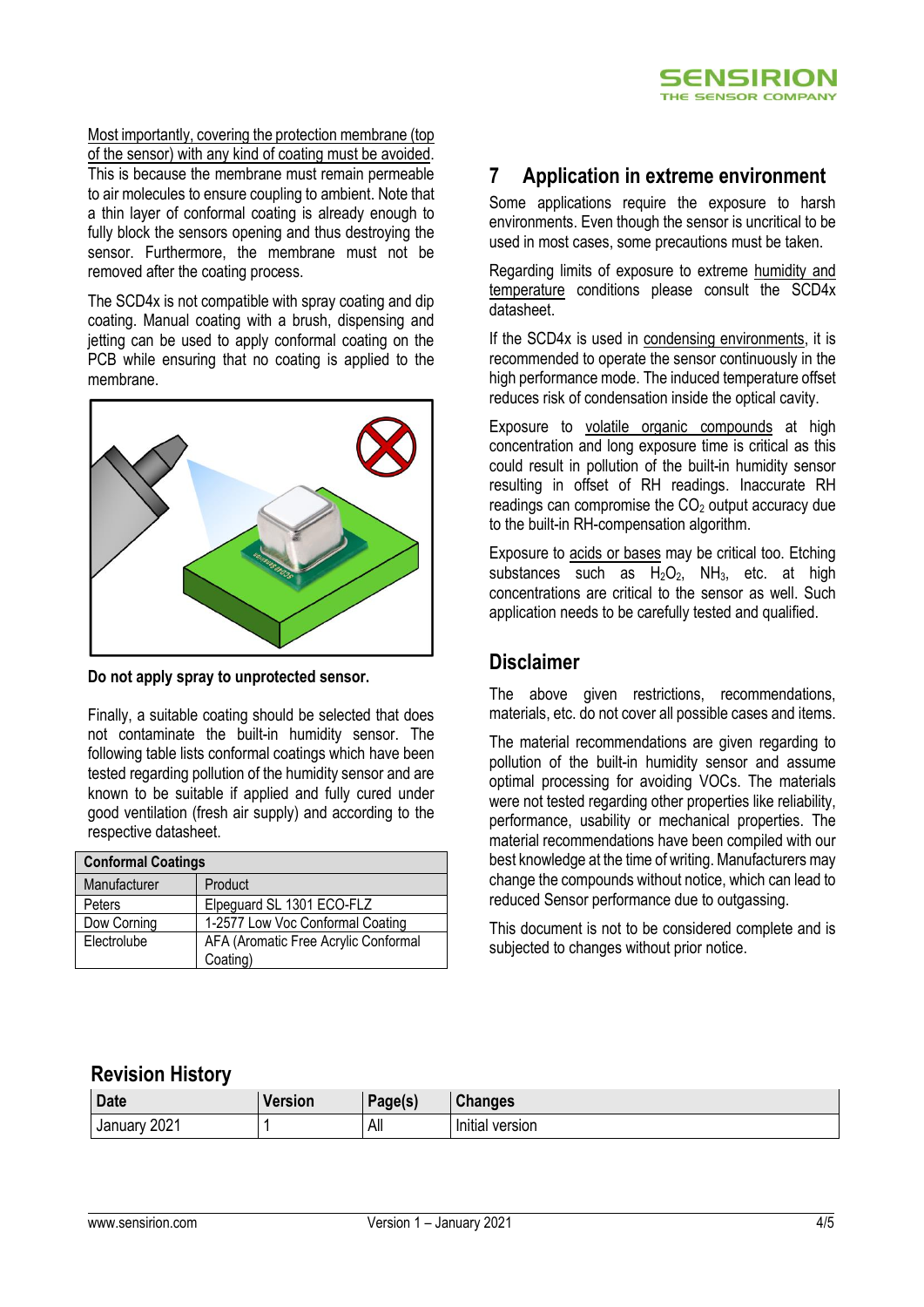Most importantly, covering the protection membrane (top of the sensor) with any kind of coating must be avoided. This is because the membrane must remain permeable to air molecules to ensure coupling to ambient. Note that a thin layer of conformal coating is already enough to fully block the sensors opening and thus destroying the sensor. Furthermore, the membrane must not be removed after the coating process.

The SCD4x is not compatible with spray coating and dip coating. Manual coating with a brush, dispensing and jetting can be used to apply conformal coating on the PCB while ensuring that no coating is applied to the membrane.



**Do not apply spray to unprotected sensor.**

Finally, a suitable coating should be selected that does not contaminate the built-in humidity sensor. The following table lists conformal coatings which have been tested regarding pollution of the humidity sensor and are known to be suitable if applied and fully cured under good ventilation (fresh air supply) and according to the respective datasheet.

| <b>Conformal Coatings</b> |                                      |  |  |
|---------------------------|--------------------------------------|--|--|
| Manufacturer              | Product                              |  |  |
| Peters                    | Elpeguard SL 1301 ECO-FLZ            |  |  |
| Dow Corning               | 1-2577 Low Voc Conformal Coating     |  |  |
| Electrolube               | AFA (Aromatic Free Acrylic Conformal |  |  |
|                           | Coating)                             |  |  |

# **7 Application in extreme environment**

Some applications require the exposure to harsh environments. Even though the sensor is uncritical to be used in most cases, some precautions must be taken.

Regarding limits of exposure to extreme humidity and temperature conditions please consult the SCD4x datasheet.

If the SCD4x is used in condensing environments, it is recommended to operate the sensor continuously in the high performance mode. The induced temperature offset reduces risk of condensation inside the optical cavity.

Exposure to volatile organic compounds at high concentration and long exposure time is critical as this could result in pollution of the built-in humidity sensor resulting in offset of RH readings. Inaccurate RH readings can compromise the  $CO<sub>2</sub>$  output accuracy due to the built-in RH-compensation algorithm.

Exposure to acids or bases may be critical too. Etching substances such as  $H_2O_2$ , NH<sub>3</sub>, etc. at high concentrations are critical to the sensor as well. Such application needs to be carefully tested and qualified.

### **Disclaimer**

The above given restrictions, recommendations, materials, etc. do not cover all possible cases and items.

The material recommendations are given regarding to pollution of the built-in humidity sensor and assume optimal processing for avoiding VOCs. The materials were not tested regarding other properties like reliability, performance, usability or mechanical properties. The material recommendations have been compiled with our best knowledge at the time of writing. Manufacturers may change the compounds without notice, which can lead to reduced Sensor performance due to outgassing.

This document is not to be considered complete and is subjected to changes without prior notice.

# **Revision History**

| <b>Date</b>     | ersion | Page(s) | <b>Changes</b>       |
|-----------------|--------|---------|----------------------|
| 2021<br>January |        | All     | .<br>lnitial version |